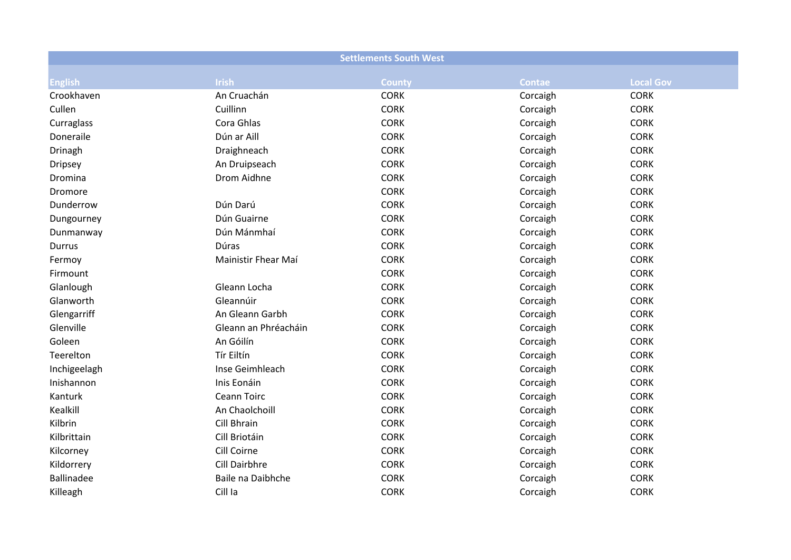|                   |                      | <b>Settlements South West</b> |               |                  |
|-------------------|----------------------|-------------------------------|---------------|------------------|
| <b>English</b>    | <b>Irish</b>         | <b>County</b>                 | <b>Contae</b> | <b>Local Gov</b> |
| Crookhaven        | An Cruachán          | <b>CORK</b>                   | Corcaigh      | <b>CORK</b>      |
| Cullen            | Cuillinn             | <b>CORK</b>                   | Corcaigh      | <b>CORK</b>      |
| Curraglass        | Cora Ghlas           | <b>CORK</b>                   | Corcaigh      | <b>CORK</b>      |
| Doneraile         | Dún ar Aill          | <b>CORK</b>                   | Corcaigh      | <b>CORK</b>      |
| Drinagh           | Draighneach          | <b>CORK</b>                   | Corcaigh      | <b>CORK</b>      |
| <b>Dripsey</b>    | An Druipseach        | <b>CORK</b>                   | Corcaigh      | <b>CORK</b>      |
| Dromina           | Drom Aidhne          | <b>CORK</b>                   | Corcaigh      | <b>CORK</b>      |
| Dromore           |                      | <b>CORK</b>                   | Corcaigh      | <b>CORK</b>      |
| Dunderrow         | Dún Darú             | <b>CORK</b>                   | Corcaigh      | <b>CORK</b>      |
| Dungourney        | Dún Guairne          | <b>CORK</b>                   | Corcaigh      | <b>CORK</b>      |
| Dunmanway         | Dún Mánmhaí          | <b>CORK</b>                   | Corcaigh      | <b>CORK</b>      |
| Durrus            | Dúras                | <b>CORK</b>                   | Corcaigh      | <b>CORK</b>      |
| Fermoy            | Mainistir Fhear Maí  | <b>CORK</b>                   | Corcaigh      | <b>CORK</b>      |
| Firmount          |                      | <b>CORK</b>                   | Corcaigh      | <b>CORK</b>      |
| Glanlough         | Gleann Locha         | <b>CORK</b>                   | Corcaigh      | <b>CORK</b>      |
| Glanworth         | Gleannúir            | <b>CORK</b>                   | Corcaigh      | <b>CORK</b>      |
| Glengarriff       | An Gleann Garbh      | <b>CORK</b>                   | Corcaigh      | <b>CORK</b>      |
| Glenville         | Gleann an Phréacháin | <b>CORK</b>                   | Corcaigh      | <b>CORK</b>      |
| Goleen            | An Góilín            | <b>CORK</b>                   | Corcaigh      | <b>CORK</b>      |
| Teerelton         | Tír Eiltín           | <b>CORK</b>                   | Corcaigh      | <b>CORK</b>      |
| Inchigeelagh      | Inse Geimhleach      | <b>CORK</b>                   | Corcaigh      | <b>CORK</b>      |
| Inishannon        | Inis Eonáin          | <b>CORK</b>                   | Corcaigh      | <b>CORK</b>      |
| Kanturk           | Ceann Toirc          | <b>CORK</b>                   | Corcaigh      | <b>CORK</b>      |
| Kealkill          | An Chaolchoill       | <b>CORK</b>                   | Corcaigh      | <b>CORK</b>      |
| Kilbrin           | Cill Bhrain          | <b>CORK</b>                   | Corcaigh      | <b>CORK</b>      |
| Kilbrittain       | Cill Briotáin        | <b>CORK</b>                   | Corcaigh      | <b>CORK</b>      |
| Kilcorney         | Cill Coirne          | <b>CORK</b>                   | Corcaigh      | <b>CORK</b>      |
| Kildorrery        | Cill Dairbhre        | <b>CORK</b>                   | Corcaigh      | <b>CORK</b>      |
| <b>Ballinadee</b> | Baile na Daibhche    | <b>CORK</b>                   | Corcaigh      | <b>CORK</b>      |
| Killeagh          | Cill la              | <b>CORK</b>                   | Corcaigh      | <b>CORK</b>      |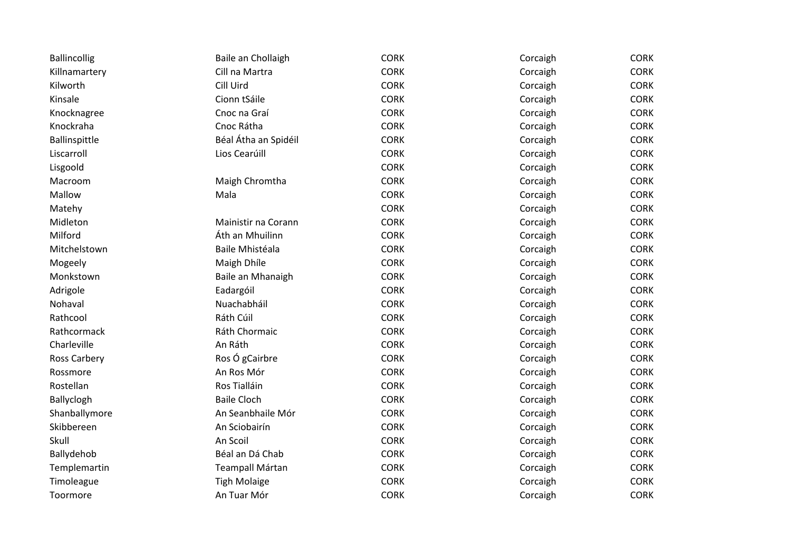| <b>Ballincollig</b> | Baile an Chollaigh   | <b>CORK</b> | Corcaigh | <b>CORK</b> |
|---------------------|----------------------|-------------|----------|-------------|
| Killnamartery       | Cill na Martra       | <b>CORK</b> | Corcaigh | <b>CORK</b> |
| Kilworth            | Cill Uird            | <b>CORK</b> | Corcaigh | <b>CORK</b> |
| Kinsale             | Cionn tSáile         | <b>CORK</b> | Corcaigh | <b>CORK</b> |
| Knocknagree         | Cnoc na Graí         | <b>CORK</b> | Corcaigh | <b>CORK</b> |
| Knockraha           | Cnoc Rátha           | <b>CORK</b> | Corcaigh | <b>CORK</b> |
| Ballinspittle       | Béal Átha an Spidéil | <b>CORK</b> | Corcaigh | CORK        |
| Liscarroll          | Lios Cearúill        | <b>CORK</b> | Corcaigh | <b>CORK</b> |
| Lisgoold            |                      | <b>CORK</b> | Corcaigh | <b>CORK</b> |
| Macroom             | Maigh Chromtha       | <b>CORK</b> | Corcaigh | <b>CORK</b> |
| Mallow              | Mala                 | <b>CORK</b> | Corcaigh | <b>CORK</b> |
| Matehy              |                      | <b>CORK</b> | Corcaigh | <b>CORK</b> |
| Midleton            | Mainistir na Corann  | <b>CORK</b> | Corcaigh | <b>CORK</b> |
| Milford             | Áth an Mhuilinn      | <b>CORK</b> | Corcaigh | <b>CORK</b> |
| Mitchelstown        | Baile Mhistéala      | <b>CORK</b> | Corcaigh | <b>CORK</b> |
| Mogeely             | Maigh Dhíle          | <b>CORK</b> | Corcaigh | <b>CORK</b> |
| Monkstown           | Baile an Mhanaigh    | <b>CORK</b> | Corcaigh | <b>CORK</b> |
| Adrigole            | Eadargóil            | <b>CORK</b> | Corcaigh | <b>CORK</b> |
| Nohaval             | Nuachabháil          | <b>CORK</b> | Corcaigh | <b>CORK</b> |
| Rathcool            | Ráth Cúil            | <b>CORK</b> | Corcaigh | <b>CORK</b> |
| Rathcormack         | Ráth Chormaic        | <b>CORK</b> | Corcaigh | CORK        |
| Charleville         | An Ráth              | <b>CORK</b> | Corcaigh | <b>CORK</b> |
| Ross Carbery        | Ros Ó gCairbre       | <b>CORK</b> | Corcaigh | <b>CORK</b> |
| Rossmore            | An Ros Mór           | <b>CORK</b> | Corcaigh | <b>CORK</b> |
| Rostellan           | Ros Tialláin         | <b>CORK</b> | Corcaigh | <b>CORK</b> |
| Ballyclogh          | <b>Baile Cloch</b>   | <b>CORK</b> | Corcaigh | <b>CORK</b> |
| Shanballymore       | An Seanbhaile Mór    | <b>CORK</b> | Corcaigh | <b>CORK</b> |
| Skibbereen          | An Sciobairín        | <b>CORK</b> | Corcaigh | <b>CORK</b> |
| Skull               | An Scoil             | <b>CORK</b> | Corcaigh | CORK        |
| Ballydehob          | Béal an Dá Chab      | <b>CORK</b> | Corcaigh | <b>CORK</b> |
| Templemartin        | Teampall Mártan      | <b>CORK</b> | Corcaigh | <b>CORK</b> |
| Timoleague          | <b>Tigh Molaige</b>  | <b>CORK</b> | Corcaigh | <b>CORK</b> |
| Toormore            | An Tuar Mór          | <b>CORK</b> | Corcaigh | <b>CORK</b> |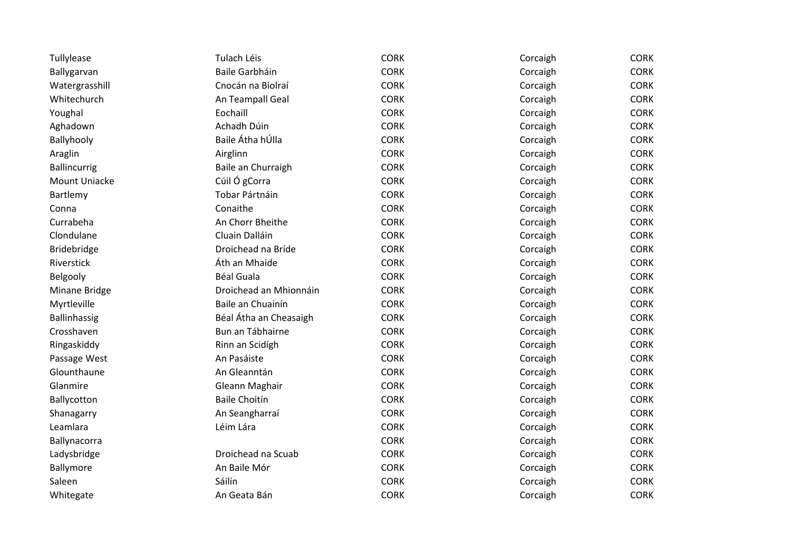| Tullylease           | Tulach Léis            | <b>CORK</b> | Corcaigh | <b>CORK</b> |
|----------------------|------------------------|-------------|----------|-------------|
| Ballygarvan          | Baile Garbháin         | <b>CORK</b> | Corcaigh | <b>CORK</b> |
| Watergrasshill       | Cnocán na Biolraí      | <b>CORK</b> | Corcaigh | <b>CORK</b> |
| Whitechurch          | An Teampall Geal       | <b>CORK</b> | Corcaigh | <b>CORK</b> |
| Youghal              | Eochaill               | <b>CORK</b> | Corcaigh | <b>CORK</b> |
| Aghadown             | Achadh Dúin            | <b>CORK</b> | Corcaigh | <b>CORK</b> |
| Ballyhooly           | Baile Átha hÚlla       | <b>CORK</b> | Corcaigh | <b>CORK</b> |
| Araglin              | Airglinn               | <b>CORK</b> | Corcaigh | <b>CORK</b> |
| Ballincurrig         | Baile an Churraigh     | <b>CORK</b> | Corcaigh | <b>CORK</b> |
| <b>Mount Uniacke</b> | Cúil Ó gCorra          | <b>CORK</b> | Corcaigh | <b>CORK</b> |
| Bartlemy             | Tobar Pártnáin         | <b>CORK</b> | Corcaigh | <b>CORK</b> |
| Conna                | Conaithe               | <b>CORK</b> | Corcaigh | <b>CORK</b> |
| Currabeha            | An Chorr Bheithe       | <b>CORK</b> | Corcaigh | <b>CORK</b> |
| Clondulane           | Cluain Dalláin         | <b>CORK</b> | Corcaigh | <b>CORK</b> |
| <b>Bridebridge</b>   | Droichead na Bríde     | <b>CORK</b> | Corcaigh | <b>CORK</b> |
| Riverstick           | Áth an Mhaide          | <b>CORK</b> | Corcaigh | <b>CORK</b> |
| Belgooly             | <b>Béal Guala</b>      | <b>CORK</b> | Corcaigh | <b>CORK</b> |
| Minane Bridge        | Droichead an Mhionnáin | <b>CORK</b> | Corcaigh | <b>CORK</b> |
| Myrtleville          | Baile an Chuainín      | <b>CORK</b> | Corcaigh | <b>CORK</b> |
| Ballinhassig         | Béal Átha an Cheasaigh | <b>CORK</b> | Corcaigh | <b>CORK</b> |
| Crosshaven           | Bun an Tábhairne       | <b>CORK</b> | Corcaigh | <b>CORK</b> |
| Ringaskiddy          | Rinn an Scidígh        | <b>CORK</b> | Corcaigh | <b>CORK</b> |
| Passage West         | An Pasáiste            | <b>CORK</b> | Corcaigh | <b>CORK</b> |
| Glounthaune          | An Gleanntán           | <b>CORK</b> | Corcaigh | <b>CORK</b> |
| Glanmire             | Gleann Maghair         | <b>CORK</b> | Corcaigh | <b>CORK</b> |
| Ballycotton          | <b>Baile Choitín</b>   | <b>CORK</b> | Corcaigh | <b>CORK</b> |
| Shanagarry           | An Seangharraí         | <b>CORK</b> | Corcaigh | <b>CORK</b> |
| Leamlara             | Léim Lára              | <b>CORK</b> | Corcaigh | <b>CORK</b> |
| Ballynacorra         |                        | <b>CORK</b> | Corcaigh | <b>CORK</b> |
| Ladysbridge          | Droichead na Scuab     | <b>CORK</b> | Corcaigh | <b>CORK</b> |
| Ballymore            | An Baile Mór           | <b>CORK</b> | Corcaigh | <b>CORK</b> |
| Saleen               | Sáilín                 | <b>CORK</b> | Corcaigh | <b>CORK</b> |
| Whitegate            | An Geata Bán           | <b>CORK</b> | Corcaigh | <b>CORK</b> |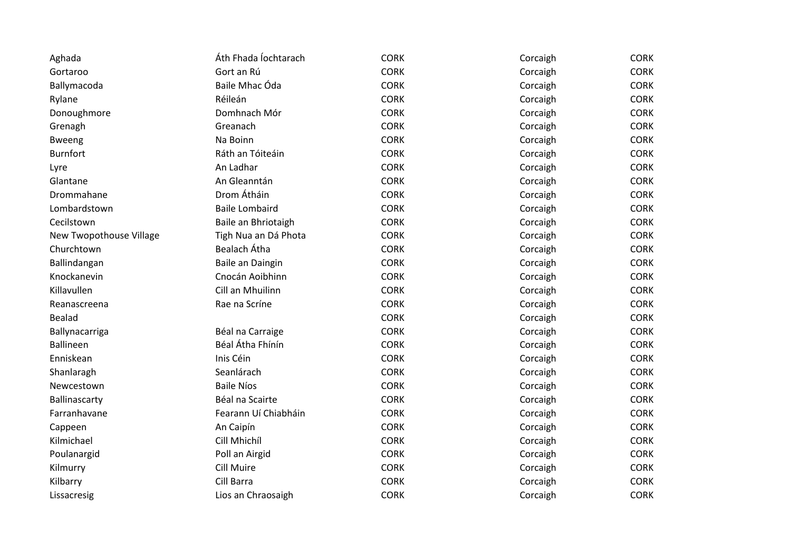| Aghada                  | Áth Fhada Íochtarach  | <b>CORK</b> | Corcaigh | <b>CORK</b> |
|-------------------------|-----------------------|-------------|----------|-------------|
| Gortaroo                | Gort an Rú            | <b>CORK</b> | Corcaigh | <b>CORK</b> |
| Ballymacoda             | Baile Mhac Óda        | <b>CORK</b> | Corcaigh | <b>CORK</b> |
| Rylane                  | Réileán               | <b>CORK</b> | Corcaigh | <b>CORK</b> |
| Donoughmore             | Domhnach Mór          | <b>CORK</b> | Corcaigh | <b>CORK</b> |
| Grenagh                 | Greanach              | <b>CORK</b> | Corcaigh | <b>CORK</b> |
| <b>Bweeng</b>           | Na Boinn              | <b>CORK</b> | Corcaigh | CORK        |
| <b>Burnfort</b>         | Ráth an Tóiteáin      | <b>CORK</b> | Corcaigh | <b>CORK</b> |
| Lyre                    | An Ladhar             | <b>CORK</b> | Corcaigh | <b>CORK</b> |
| Glantane                | An Gleanntán          | <b>CORK</b> | Corcaigh | <b>CORK</b> |
| Drommahane              | Drom Átháin           | <b>CORK</b> | Corcaigh | <b>CORK</b> |
| Lombardstown            | <b>Baile Lombaird</b> | <b>CORK</b> | Corcaigh | <b>CORK</b> |
| Cecilstown              | Baile an Bhriotaigh   | <b>CORK</b> | Corcaigh | <b>CORK</b> |
| New Twopothouse Village | Tigh Nua an Dá Phota  | <b>CORK</b> | Corcaigh | <b>CORK</b> |
| Churchtown              | Bealach Átha          | <b>CORK</b> | Corcaigh | <b>CORK</b> |
| Ballindangan            | Baile an Daingin      | <b>CORK</b> | Corcaigh | <b>CORK</b> |
| Knockanevin             | Cnocán Aoibhinn       | <b>CORK</b> | Corcaigh | <b>CORK</b> |
| Killavullen             | Cill an Mhuilinn      | <b>CORK</b> | Corcaigh | <b>CORK</b> |
| Reanascreena            | Rae na Scríne         | <b>CORK</b> | Corcaigh | <b>CORK</b> |
| <b>Bealad</b>           |                       | <b>CORK</b> | Corcaigh | <b>CORK</b> |
| Ballynacarriga          | Béal na Carraige      | <b>CORK</b> | Corcaigh | CORK        |
| <b>Ballineen</b>        | Béal Átha Fhínín      | <b>CORK</b> | Corcaigh | <b>CORK</b> |
| Enniskean               | Inis Céin             | <b>CORK</b> | Corcaigh | <b>CORK</b> |
| Shanlaragh              | Seanlárach            | <b>CORK</b> | Corcaigh | <b>CORK</b> |
| Newcestown              | <b>Baile Níos</b>     | <b>CORK</b> | Corcaigh | <b>CORK</b> |
| Ballinascarty           | Béal na Scairte       | <b>CORK</b> | Corcaigh | <b>CORK</b> |
| Farranhavane            | Fearann Uí Chiabháin  | <b>CORK</b> | Corcaigh | <b>CORK</b> |
| Cappeen                 | An Caipín             | <b>CORK</b> | Corcaigh | <b>CORK</b> |
| Kilmichael              | Cill Mhichíl          | <b>CORK</b> | Corcaigh | <b>CORK</b> |
| Poulanargid             | Poll an Airgid        | <b>CORK</b> | Corcaigh | <b>CORK</b> |
| Kilmurry                | <b>Cill Muire</b>     | <b>CORK</b> | Corcaigh | <b>CORK</b> |
| Kilbarry                | Cill Barra            | <b>CORK</b> | Corcaigh | CORK        |
| Lissacresig             | Lios an Chraosaigh    | <b>CORK</b> | Corcaigh | <b>CORK</b> |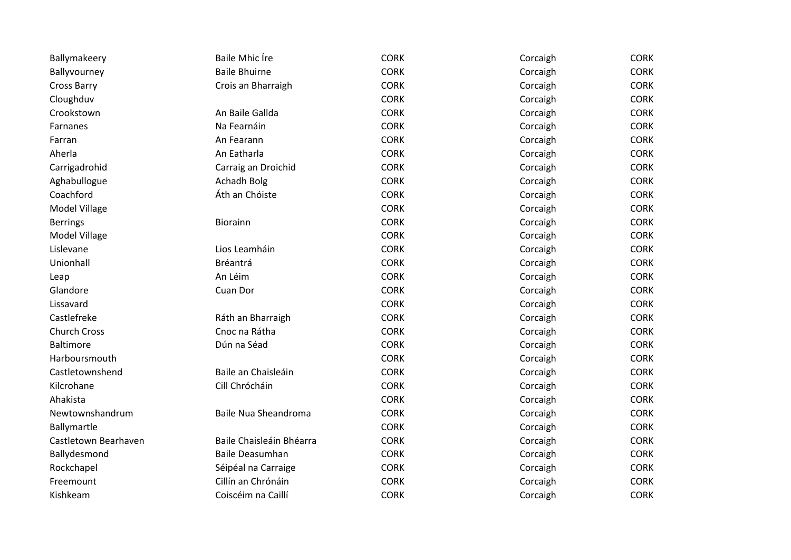| Ballymakeery         | <b>Baile Mhic Ire</b>    | <b>CORK</b> | Corcaigh | <b>CORK</b> |
|----------------------|--------------------------|-------------|----------|-------------|
| Ballyvourney         | <b>Baile Bhuirne</b>     | <b>CORK</b> | Corcaigh | <b>CORK</b> |
| <b>Cross Barry</b>   | Crois an Bharraigh       | <b>CORK</b> | Corcaigh | <b>CORK</b> |
| Cloughduv            |                          | <b>CORK</b> | Corcaigh | <b>CORK</b> |
| Crookstown           | An Baile Gallda          | <b>CORK</b> | Corcaigh | <b>CORK</b> |
| Farnanes             | Na Fearnáin              | <b>CORK</b> | Corcaigh | <b>CORK</b> |
| Farran               | An Fearann               | <b>CORK</b> | Corcaigh | <b>CORK</b> |
| Aherla               | An Eatharla              | <b>CORK</b> | Corcaigh | <b>CORK</b> |
| Carrigadrohid        | Carraig an Droichid      | <b>CORK</b> | Corcaigh | <b>CORK</b> |
| Aghabullogue         | Achadh Bolg              | <b>CORK</b> | Corcaigh | <b>CORK</b> |
| Coachford            | Áth an Chóiste           | <b>CORK</b> | Corcaigh | <b>CORK</b> |
| Model Village        |                          | <b>CORK</b> | Corcaigh | <b>CORK</b> |
| <b>Berrings</b>      | Biorainn                 | <b>CORK</b> | Corcaigh | <b>CORK</b> |
| Model Village        |                          | <b>CORK</b> | Corcaigh | CORK        |
| Lislevane            | Lios Leamháin            | <b>CORK</b> | Corcaigh | <b>CORK</b> |
| Unionhall            | Bréantrá                 | <b>CORK</b> | Corcaigh | <b>CORK</b> |
| Leap                 | An Léim                  | <b>CORK</b> | Corcaigh | <b>CORK</b> |
| Glandore             | Cuan Dor                 | <b>CORK</b> | Corcaigh | <b>CORK</b> |
| Lissavard            |                          | <b>CORK</b> | Corcaigh | <b>CORK</b> |
| Castlefreke          | Ráth an Bharraigh        | <b>CORK</b> | Corcaigh | <b>CORK</b> |
| <b>Church Cross</b>  | Cnoc na Rátha            | <b>CORK</b> | Corcaigh | <b>CORK</b> |
| Baltimore            | Dún na Séad              | <b>CORK</b> | Corcaigh | CORK        |
| Harboursmouth        |                          | <b>CORK</b> | Corcaigh | <b>CORK</b> |
| Castletownshend      | Baile an Chaisleáin      | <b>CORK</b> | Corcaigh | <b>CORK</b> |
| Kilcrohane           | Cill Chrócháin           | <b>CORK</b> | Corcaigh | <b>CORK</b> |
| Ahakista             |                          | <b>CORK</b> | Corcaigh | <b>CORK</b> |
| Newtownshandrum      | Baile Nua Sheandroma     | <b>CORK</b> | Corcaigh | <b>CORK</b> |
| Ballymartle          |                          | <b>CORK</b> | Corcaigh | <b>CORK</b> |
| Castletown Bearhaven | Baile Chaisleáin Bhéarra | <b>CORK</b> | Corcaigh | <b>CORK</b> |
| Ballydesmond         | <b>Baile Deasumhan</b>   | <b>CORK</b> | Corcaigh | <b>CORK</b> |
| Rockchapel           | Séipéal na Carraige      | <b>CORK</b> | Corcaigh | <b>CORK</b> |
| Freemount            | Cillín an Chrónáin       | <b>CORK</b> | Corcaigh | <b>CORK</b> |
| Kishkeam             | Coiscéim na Caillí       | <b>CORK</b> | Corcaigh | <b>CORK</b> |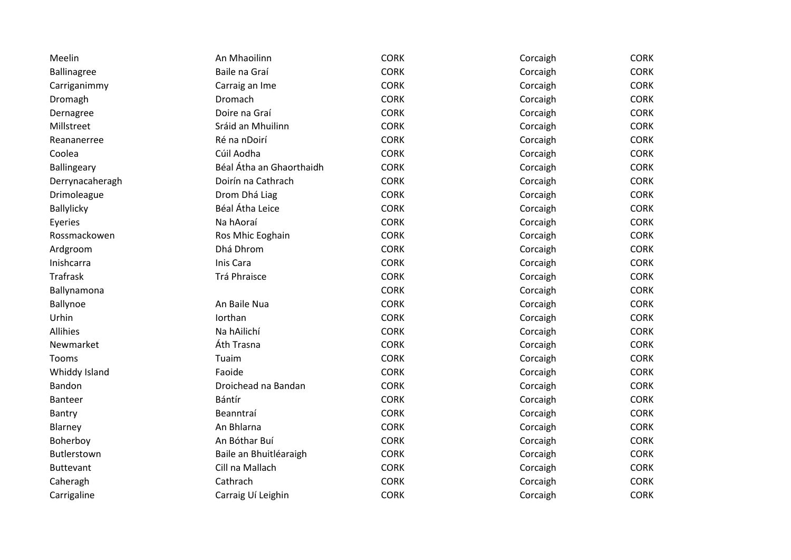| Meelin           | An Mhaoilinn             | <b>CORK</b> | Corcaigh | <b>CORK</b> |
|------------------|--------------------------|-------------|----------|-------------|
| Ballinagree      | Baile na Graí            | <b>CORK</b> | Corcaigh | <b>CORK</b> |
| Carriganimmy     | Carraig an Ime           | <b>CORK</b> | Corcaigh | <b>CORK</b> |
| Dromagh          | Dromach                  | <b>CORK</b> | Corcaigh | <b>CORK</b> |
| Dernagree        | Doire na Graí            | <b>CORK</b> | Corcaigh | <b>CORK</b> |
| Millstreet       | Sráid an Mhuilinn        | <b>CORK</b> | Corcaigh | <b>CORK</b> |
| Reananerree      | Ré na nDoirí             | <b>CORK</b> | Corcaigh | <b>CORK</b> |
| Coolea           | Cúil Aodha               | <b>CORK</b> | Corcaigh | <b>CORK</b> |
| Ballingeary      | Béal Átha an Ghaorthaidh | <b>CORK</b> | Corcaigh | <b>CORK</b> |
| Derrynacaheragh  | Doirín na Cathrach       | <b>CORK</b> | Corcaigh | <b>CORK</b> |
| Drimoleague      | Drom Dhá Liag            | <b>CORK</b> | Corcaigh | <b>CORK</b> |
| Ballylicky       | Béal Átha Leice          | <b>CORK</b> | Corcaigh | <b>CORK</b> |
| Eyeries          | Na hAoraí                | <b>CORK</b> | Corcaigh | <b>CORK</b> |
| Rossmackowen     | Ros Mhic Eoghain         | <b>CORK</b> | Corcaigh | <b>CORK</b> |
| Ardgroom         | Dhá Dhrom                | <b>CORK</b> | Corcaigh | <b>CORK</b> |
| Inishcarra       | Inis Cara                | <b>CORK</b> | Corcaigh | <b>CORK</b> |
| <b>Trafrask</b>  | Trá Phraisce             | <b>CORK</b> | Corcaigh | <b>CORK</b> |
| Ballynamona      |                          | <b>CORK</b> | Corcaigh | <b>CORK</b> |
| Ballynoe         | An Baile Nua             | <b>CORK</b> | Corcaigh | <b>CORK</b> |
| Urhin            | lorthan                  | <b>CORK</b> | Corcaigh | <b>CORK</b> |
| <b>Allihies</b>  | Na hAilichí              | <b>CORK</b> | Corcaigh | <b>CORK</b> |
| Newmarket        | Áth Trasna               | <b>CORK</b> | Corcaigh | <b>CORK</b> |
| Tooms            | Tuaim                    | <b>CORK</b> | Corcaigh | <b>CORK</b> |
| Whiddy Island    | Faoide                   | <b>CORK</b> | Corcaigh | <b>CORK</b> |
| Bandon           | Droichead na Bandan      | <b>CORK</b> | Corcaigh | <b>CORK</b> |
| <b>Banteer</b>   | Bántír                   | <b>CORK</b> | Corcaigh | <b>CORK</b> |
| Bantry           | Beanntraí                | <b>CORK</b> | Corcaigh | <b>CORK</b> |
| Blarney          | An Bhlarna               | <b>CORK</b> | Corcaigh | <b>CORK</b> |
| Boherboy         | An Bóthar Buí            | <b>CORK</b> | Corcaigh | <b>CORK</b> |
| Butlerstown      | Baile an Bhuitléaraigh   | <b>CORK</b> | Corcaigh | CORK        |
| <b>Buttevant</b> | Cill na Mallach          | <b>CORK</b> | Corcaigh | <b>CORK</b> |
| Caheragh         | Cathrach                 | <b>CORK</b> | Corcaigh | CORK        |
| Carrigaline      | Carraig Uí Leighin       | <b>CORK</b> | Corcaigh | <b>CORK</b> |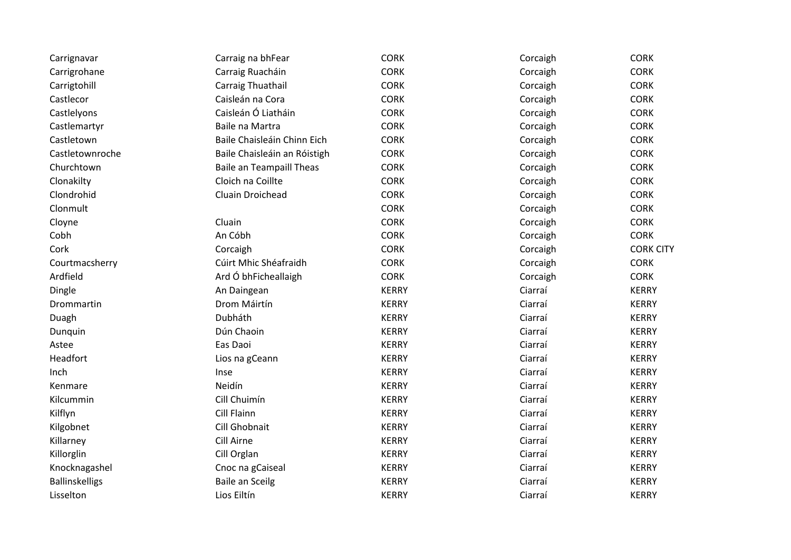| Carrignavar           | Carraig na bhFear            | <b>CORK</b>  | Corcaigh | <b>CORK</b>      |
|-----------------------|------------------------------|--------------|----------|------------------|
| Carrigrohane          | Carraig Ruacháin             | <b>CORK</b>  | Corcaigh | <b>CORK</b>      |
| Carrigtohill          | Carraig Thuathail            | <b>CORK</b>  | Corcaigh | <b>CORK</b>      |
| Castlecor             | Caisleán na Cora             | <b>CORK</b>  | Corcaigh | <b>CORK</b>      |
| Castlelyons           | Caisleán Ó Liatháin          | <b>CORK</b>  | Corcaigh | <b>CORK</b>      |
| Castlemartyr          | Baile na Martra              | <b>CORK</b>  | Corcaigh | <b>CORK</b>      |
| Castletown            | Baile Chaisleáin Chinn Eich  | <b>CORK</b>  | Corcaigh | <b>CORK</b>      |
| Castletownroche       | Baile Chaisleáin an Róistigh | <b>CORK</b>  | Corcaigh | <b>CORK</b>      |
| Churchtown            | Baile an Teampaill Theas     | <b>CORK</b>  | Corcaigh | <b>CORK</b>      |
| Clonakilty            | Cloich na Coillte            | <b>CORK</b>  | Corcaigh | <b>CORK</b>      |
| Clondrohid            | Cluain Droichead             | <b>CORK</b>  | Corcaigh | <b>CORK</b>      |
| Clonmult              |                              | <b>CORK</b>  | Corcaigh | <b>CORK</b>      |
| Cloyne                | Cluain                       | <b>CORK</b>  | Corcaigh | <b>CORK</b>      |
| Cobh                  | An Cóbh                      | <b>CORK</b>  | Corcaigh | <b>CORK</b>      |
| Cork                  | Corcaigh                     | <b>CORK</b>  | Corcaigh | <b>CORK CITY</b> |
| Courtmacsherry        | Cúirt Mhic Shéafraidh        | <b>CORK</b>  | Corcaigh | <b>CORK</b>      |
| Ardfield              | Ard Ó bhFicheallaigh         | <b>CORK</b>  | Corcaigh | <b>CORK</b>      |
| Dingle                | An Daingean                  | <b>KERRY</b> | Ciarraí  | <b>KERRY</b>     |
| Drommartin            | Drom Máirtín                 | <b>KERRY</b> | Ciarraí  | <b>KERRY</b>     |
| Duagh                 | Dubháth                      | <b>KERRY</b> | Ciarraí  | <b>KERRY</b>     |
| Dunquin               | Dún Chaoin                   | <b>KERRY</b> | Ciarraí  | <b>KERRY</b>     |
| Astee                 | Eas Daoi                     | <b>KERRY</b> | Ciarraí  | <b>KERRY</b>     |
| Headfort              | Lios na gCeann               | <b>KERRY</b> | Ciarraí  | <b>KERRY</b>     |
| Inch                  | Inse                         | <b>KERRY</b> | Ciarraí  | <b>KERRY</b>     |
| Kenmare               | Neidín                       | <b>KERRY</b> | Ciarraí  | <b>KERRY</b>     |
| Kilcummin             | Cill Chuimín                 | <b>KERRY</b> | Ciarraí  | <b>KERRY</b>     |
| Kilflyn               | Cill Flainn                  | <b>KERRY</b> | Ciarraí  | <b>KERRY</b>     |
| Kilgobnet             | Cill Ghobnait                | <b>KERRY</b> | Ciarraí  | <b>KERRY</b>     |
| Killarney             | Cill Airne                   | <b>KERRY</b> | Ciarraí  | <b>KERRY</b>     |
| Killorglin            | Cill Orglan                  | <b>KERRY</b> | Ciarraí  | <b>KERRY</b>     |
| Knocknagashel         | Cnoc na gCaiseal             | <b>KERRY</b> | Ciarraí  | <b>KERRY</b>     |
| <b>Ballinskelligs</b> | <b>Baile an Sceilg</b>       | <b>KERRY</b> | Ciarraí  | <b>KERRY</b>     |
| Lisselton             | Lios Eiltín                  | <b>KERRY</b> | Ciarraí  | <b>KERRY</b>     |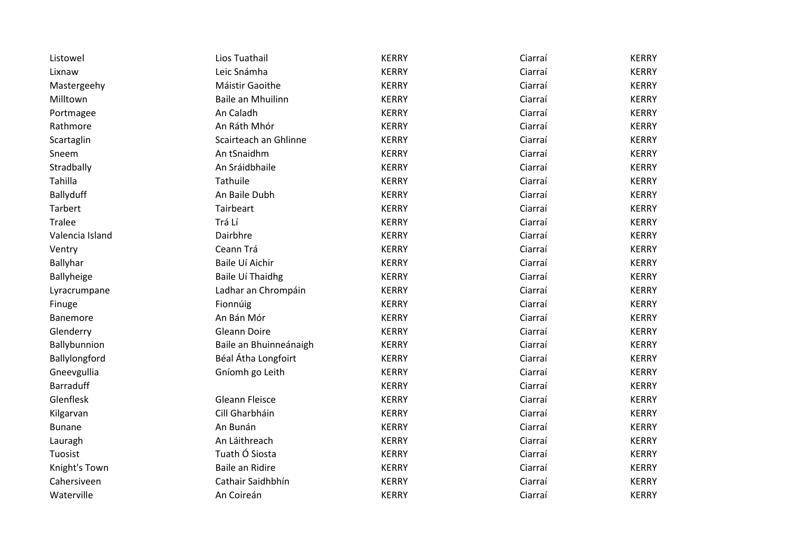| Listowel         | Lios Tuathail          | <b>KERRY</b> | Ciarraí | <b>KERRY</b> |
|------------------|------------------------|--------------|---------|--------------|
| Lixnaw           | Leic Snámha            | <b>KERRY</b> | Ciarraí | <b>KERRY</b> |
| Mastergeehy      | Máistir Gaoithe        | <b>KERRY</b> | Ciarraí | <b>KERRY</b> |
| Milltown         | Baile an Mhuilinn      | <b>KERRY</b> | Ciarraí | <b>KERRY</b> |
| Portmagee        | An Caladh              | <b>KERRY</b> | Ciarraí | <b>KERRY</b> |
| Rathmore         | An Ráth Mhór           | <b>KERRY</b> | Ciarraí | <b>KERRY</b> |
| Scartaglin       | Scairteach an Ghlinne  | <b>KERRY</b> | Ciarraí | <b>KERRY</b> |
| Sneem            | An tSnaidhm            | <b>KERRY</b> | Ciarraí | <b>KERRY</b> |
| Stradbally       | An Sráidbhaile         | <b>KERRY</b> | Ciarraí | <b>KERRY</b> |
| Tahilla          | Tathuile               | <b>KERRY</b> | Ciarraí | <b>KERRY</b> |
| Ballyduff        | An Baile Dubh          | <b>KERRY</b> | Ciarraí | <b>KERRY</b> |
| Tarbert          | Tairbeart              | <b>KERRY</b> | Ciarraí | <b>KERRY</b> |
| <b>Tralee</b>    | Trá Lí                 | <b>KERRY</b> | Ciarraí | <b>KERRY</b> |
| Valencia Island  | Dairbhre               | <b>KERRY</b> | Ciarraí | <b>KERRY</b> |
| Ventry           | Ceann Trá              | <b>KERRY</b> | Ciarraí | <b>KERRY</b> |
| Ballyhar         | Baile Uí Aichir        | <b>KERRY</b> | Ciarraí | <b>KERRY</b> |
| Ballyheige       | Baile Uí Thaidhg       | <b>KERRY</b> | Ciarraí | <b>KERRY</b> |
| Lyracrumpane     | Ladhar an Chrompáin    | <b>KERRY</b> | Ciarraí | <b>KERRY</b> |
| Finuge           | Fionnúig               | <b>KERRY</b> | Ciarraí | <b>KERRY</b> |
| Banemore         | An Bán Mór             | <b>KERRY</b> | Ciarraí | <b>KERRY</b> |
| Glenderry        | Gleann Doire           | <b>KERRY</b> | Ciarraí | <b>KERRY</b> |
| Ballybunnion     | Baile an Bhuinneánaigh | <b>KERRY</b> | Ciarraí | <b>KERRY</b> |
| Ballylongford    | Béal Átha Longfoirt    | <b>KERRY</b> | Ciarraí | <b>KERRY</b> |
| Gneevgullia      | Gníomh go Leith        | <b>KERRY</b> | Ciarraí | <b>KERRY</b> |
| <b>Barraduff</b> |                        | <b>KERRY</b> | Ciarraí | <b>KERRY</b> |
| Glenflesk        | <b>Gleann Fleisce</b>  | <b>KERRY</b> | Ciarraí | <b>KERRY</b> |
| Kilgarvan        | Cill Gharbháin         | <b>KERRY</b> | Ciarraí | <b>KERRY</b> |
| <b>Bunane</b>    | An Bunán               | <b>KERRY</b> | Ciarraí | <b>KERRY</b> |
| Lauragh          | An Láithreach          | <b>KERRY</b> | Ciarraí | <b>KERRY</b> |
| Tuosist          | Tuath Ó Siosta         | <b>KERRY</b> | Ciarraí | <b>KERRY</b> |
| Knight's Town    | <b>Baile an Ridire</b> | <b>KERRY</b> | Ciarraí | <b>KERRY</b> |
| Cahersiveen      | Cathair Saidhbhín      | <b>KERRY</b> | Ciarraí | <b>KERRY</b> |
| Waterville       | An Coireán             | <b>KERRY</b> | Ciarraí | <b>KERRY</b> |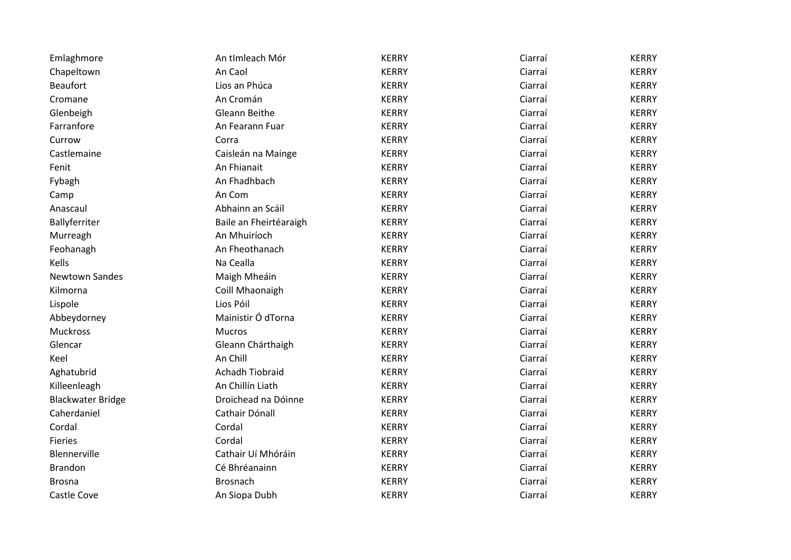| Emlaghmore               | An tImleach Mór        | <b>KERRY</b> | Ciarraí | <b>KERRY</b> |
|--------------------------|------------------------|--------------|---------|--------------|
| Chapeltown               | An Caol                | <b>KERRY</b> | Ciarraí | <b>KERRY</b> |
| <b>Beaufort</b>          | Lios an Phúca          | <b>KERRY</b> | Ciarraí | <b>KERRY</b> |
| Cromane                  | An Cromán              | <b>KERRY</b> | Ciarraí | <b>KERRY</b> |
| Glenbeigh                | <b>Gleann Beithe</b>   | <b>KERRY</b> | Ciarraí | <b>KERRY</b> |
| Farranfore               | An Fearann Fuar        | <b>KERRY</b> | Ciarraí | <b>KERRY</b> |
| Currow                   | Corra                  | <b>KERRY</b> | Ciarraí | <b>KERRY</b> |
| Castlemaine              | Caisleán na Mainge     | <b>KERRY</b> | Ciarraí | <b>KERRY</b> |
| Fenit                    | An Fhianait            | <b>KERRY</b> | Ciarraí | <b>KERRY</b> |
| Fybagh                   | An Fhadhbach           | <b>KERRY</b> | Ciarraí | <b>KERRY</b> |
| Camp                     | An Com                 | <b>KERRY</b> | Ciarraí | <b>KERRY</b> |
| Anascaul                 | Abhainn an Scáil       | <b>KERRY</b> | Ciarraí | <b>KERRY</b> |
| Ballyferriter            | Baile an Fheirtéaraigh | <b>KERRY</b> | Ciarraí | <b>KERRY</b> |
| Murreagh                 | An Mhuiríoch           | <b>KERRY</b> | Ciarraí | <b>KERRY</b> |
| Feohanagh                | An Fheothanach         | <b>KERRY</b> | Ciarraí | <b>KERRY</b> |
| Kells                    | Na Cealla              | <b>KERRY</b> | Ciarraí | <b>KERRY</b> |
| <b>Newtown Sandes</b>    | Maigh Mheáin           | <b>KERRY</b> | Ciarraí | <b>KERRY</b> |
| Kilmorna                 | Coill Mhaonaigh        | <b>KERRY</b> | Ciarraí | <b>KERRY</b> |
| Lispole                  | Lios Póil              | <b>KERRY</b> | Ciarraí | <b>KERRY</b> |
| Abbeydorney              | Mainistir Ó dTorna     | <b>KERRY</b> | Ciarraí | <b>KERRY</b> |
| Muckross                 | Mucros                 | <b>KERRY</b> | Ciarraí | <b>KERRY</b> |
| Glencar                  | Gleann Chárthaigh      | <b>KERRY</b> | Ciarraí | <b>KERRY</b> |
| Keel                     | An Chill               | <b>KERRY</b> | Ciarraí | <b>KERRY</b> |
| Aghatubrid               | <b>Achadh Tiobraid</b> | <b>KERRY</b> | Ciarraí | <b>KERRY</b> |
| Killeenleagh             | An Chillín Liath       | <b>KERRY</b> | Ciarraí | <b>KERRY</b> |
| <b>Blackwater Bridge</b> | Droichead na Dóinne    | <b>KERRY</b> | Ciarraí | <b>KERRY</b> |
| Caherdaniel              | Cathair Dónall         | <b>KERRY</b> | Ciarraí | <b>KERRY</b> |
| Cordal                   | Cordal                 | <b>KERRY</b> | Ciarraí | <b>KERRY</b> |
| <b>Fieries</b>           | Cordal                 | <b>KERRY</b> | Ciarraí | <b>KERRY</b> |
| Blennerville             | Cathair Uí Mhóráin     | <b>KERRY</b> | Ciarraí | <b>KERRY</b> |
| <b>Brandon</b>           | Cé Bhréanainn          | <b>KERRY</b> | Ciarraí | <b>KERRY</b> |
| <b>Brosna</b>            | Brosnach               | <b>KERRY</b> | Ciarraí | <b>KERRY</b> |
| Castle Cove              | An Siopa Dubh          | <b>KERRY</b> | Ciarraí | <b>KERRY</b> |